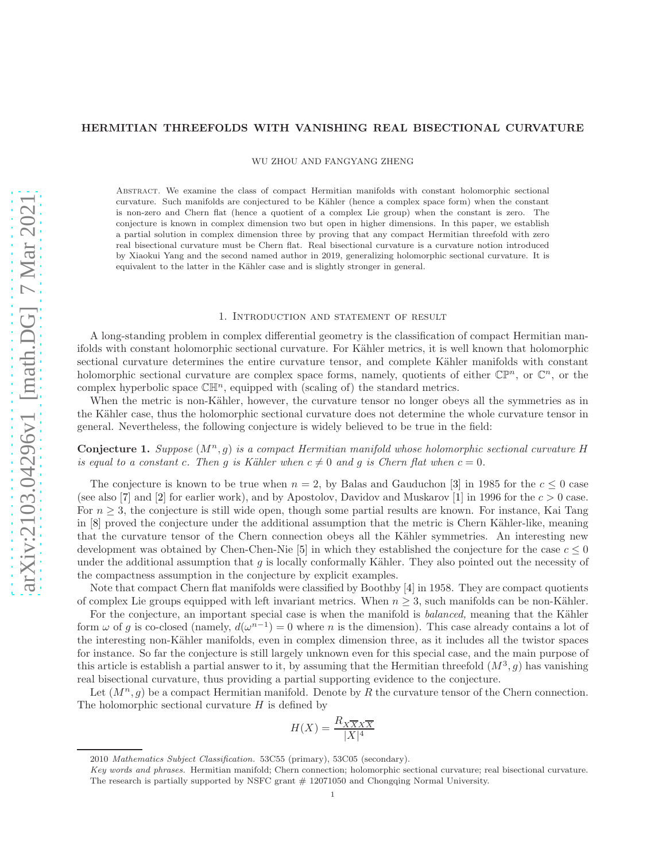## HERMITIAN THREEFOLDS WITH VANISHING REAL BISECTIONAL CURVATURE

WU ZHOU AND FANGYANG ZHENG

Abstract. We examine the class of compact Hermitian manifolds with constant holomorphic sectional curvature. Such manifolds are conjectured to be Kähler (hence a complex space form) when the constant is non-zero and Chern flat (hence a quotient of a complex Lie group) when the constant is zero. The conjecture is known in complex dimension two but open in higher dimensions. In this paper, we establish a partial solution in complex dimension three by proving that any compact Hermitian threefold with zero real bisectional curvature must be Chern flat. Real bisectional curvature is a curvature notion introduced by Xiaokui Yang and the second named author in 2019, generalizing holomorphic sectional curvature. It is equivalent to the latter in the Kähler case and is slightly stronger in general.

## 1. Introduction and statement of result

A long-standing problem in complex differential geometry is the classification of compact Hermitian manifolds with constant holomorphic sectional curvature. For Kähler metrics, it is well known that holomorphic sectional curvature determines the entire curvature tensor, and complete Kähler manifolds with constant holomorphic sectional curvature are complex space forms, namely, quotients of either  $\mathbb{CP}^n$ , or  $\mathbb{C}^n$ , or the complex hyperbolic space  $\mathbb{CH}^n$ , equipped with (scaling of) the standard metrics.

When the metric is non-Kähler, however, the curvature tensor no longer obeys all the symmetries as in the Kähler case, thus the holomorphic sectional curvature does not determine the whole curvature tensor in general. Nevertheless, the following conjecture is widely believed to be true in the field:

# **Conjecture 1.** Suppose  $(M^n, g)$  is a compact Hermitian manifold whose holomorphic sectional curvature H is equal to a constant c. Then q is Kähler when  $c \neq 0$  and q is Chern flat when  $c = 0$ .

The conjecture is known to be true when  $n = 2$ , by Balas and Gauduchon [\[3\]](#page-5-0) in 1985 for the  $c \leq 0$  case (see also [\[7\]](#page-5-1) and [\[2\]](#page-5-2) for earlier work), and by Apostolov, Davidov and Muskarov [\[1\]](#page-5-3) in 1996 for the  $c > 0$  case. For  $n \geq 3$ , the conjecture is still wide open, though some partial results are known. For instance, Kai Tang in [\[8\]](#page-5-4) proved the conjecture under the additional assumption that the metric is Chern Kähler-like, meaning that the curvature tensor of the Chern connection obeys all the Kähler symmetries. An interesting new development was obtained by Chen-Chen-Nie [\[5\]](#page-5-5) in which they established the conjecture for the case  $c \leq 0$ under the additional assumption that  $g$  is locally conformally Kähler. They also pointed out the necessity of the compactness assumption in the conjecture by explicit examples.

Note that compact Chern flat manifolds were classified by Boothby [\[4\]](#page-5-6) in 1958. They are compact quotients of complex Lie groups equipped with left invariant metrics. When  $n \geq 3$ , such manifolds can be non-Kähler.

For the conjecture, an important special case is when the manifold is *balanced*, meaning that the Kähler form  $\omega$  of g is co-closed (namely,  $d(\omega^{n-1}) = 0$  where n is the dimension). This case already contains a lot of the interesting non-Kähler manifolds, even in complex dimension three, as it includes all the twistor spaces for instance. So far the conjecture is still largely unknown even for this special case, and the main purpose of this article is establish a partial answer to it, by assuming that the Hermitian threefold  $(M^3, g)$  has vanishing real bisectional curvature, thus providing a partial supporting evidence to the conjecture.

Let  $(M^n, g)$  be a compact Hermitian manifold. Denote by R the curvature tensor of the Chern connection. The holomorphic sectional curvature  $H$  is defined by

$$
H(X) = \frac{R_{X\overline{X}X\overline{X}}}{|X|^4}
$$

<sup>2010</sup> Mathematics Subject Classification. 53C55 (primary), 53C05 (secondary).

Key words and phrases. Hermitian manifold; Chern connection; holomorphic sectional curvature; real bisectional curvature. The research is partially supported by NSFC grant  $# 12071050$  and Chongqing Normal University.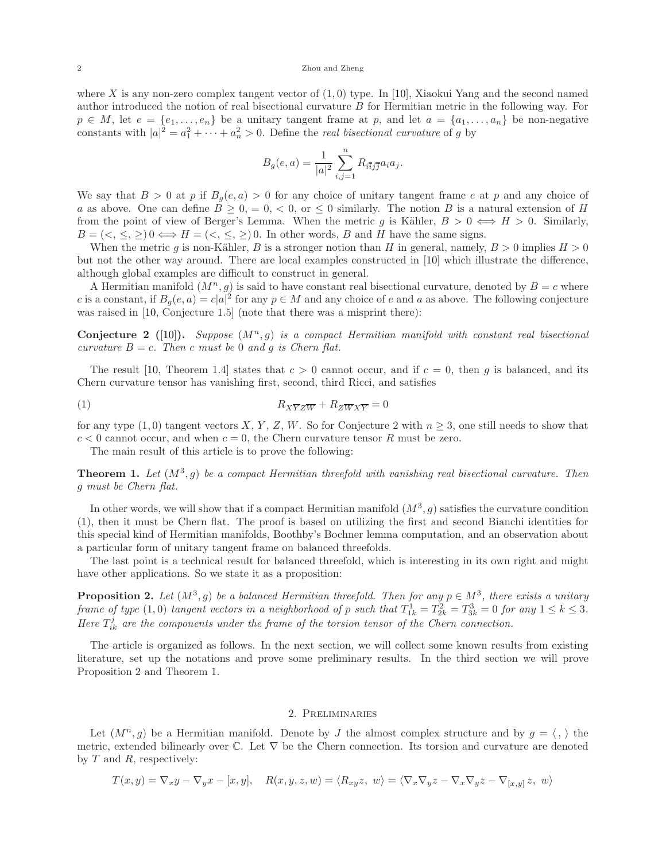#### 2 Zhou and Zheng

where X is any non-zero complex tangent vector of  $(1,0)$  type. In [\[10\]](#page-5-7), Xiaokui Yang and the second named author introduced the notion of real bisectional curvature B for Hermitian metric in the following way. For  $p \in M$ , let  $e = \{e_1, \ldots, e_n\}$  be a unitary tangent frame at p, and let  $a = \{a_1, \ldots, a_n\}$  be non-negative constants with  $|a|^2 = a_1^2 + \cdots + a_n^2 > 0$ . Define the *real bisectional curvature* of g by

$$
B_g(e,a)=\frac{1}{|a|^2}\sum_{i,j=1}^n R_{i\overline{i}j\overline{j}}a_ia_j.
$$

We say that  $B > 0$  at p if  $B<sub>g</sub>(e, a) > 0$  for any choice of unitary tangent frame e at p and any choice of a as above. One can define  $B \geq 0, = 0, < 0,$  or  $\leq 0$  similarly. The notion B is a natural extension of H from the point of view of Berger's Lemma. When the metric g is Kähler,  $B > 0 \iff H > 0$ . Similarly,  $B = \left\{ \langle \xi, \xi \rangle \geq 0 \right\}$   $\Longleftrightarrow H = \left\{ \langle \xi, \xi, \xi \rangle \right\}$ . In other words, B and H have the same signs.

When the metric g is non-Kähler, B is a stronger notion than H in general, namely,  $B > 0$  implies  $H > 0$ but not the other way around. There are local examples constructed in [\[10\]](#page-5-7) which illustrate the difference, although global examples are difficult to construct in general.

A Hermitian manifold  $(M^n, g)$  is said to have constant real bisectional curvature, denoted by  $B = c$  where c is a constant, if  $B_g(e, a) = c|a|^2$  for any  $p \in M$  and any choice of e and a as above. The following conjecture was raised in [\[10,](#page-5-7) Conjecture 1.5] (note that there was a misprint there):

**Conjecture 2** ([\[10\]](#page-5-7)). Suppose  $(M^n, g)$  is a compact Hermitian manifold with constant real bisectional curvature  $B = c$ . Then c must be 0 and g is Chern flat.

The result [\[10,](#page-5-7) Theorem 1.4] states that  $c > 0$  cannot occur, and if  $c = 0$ , then g is balanced, and its Chern curvature tensor has vanishing first, second, third Ricci, and satisfies

$$
(1) \t\t R_{X\overline{Y}Z\overline{W}} + R_{Z\overline{W}X\overline{Y}} = 0
$$

for any type  $(1,0)$  tangent vectors X, Y, Z, W. So for Conjecture 2 with  $n \geq 3$ , one still needs to show that  $c < 0$  cannot occur, and when  $c = 0$ , the Chern curvature tensor R must be zero.

<span id="page-1-0"></span>The main result of this article is to prove the following:

**Theorem 1.** Let  $(M^3, g)$  be a compact Hermitian threefold with vanishing real bisectional curvature. Then g must be Chern flat.

In other words, we will show that if a compact Hermitian manifold  $(M^3, g)$  satisfies the curvature condition [\(1\)](#page-1-0), then it must be Chern flat. The proof is based on utilizing the first and second Bianchi identities for this special kind of Hermitian manifolds, Boothby's Bochner lemma computation, and an observation about a particular form of unitary tangent frame on balanced threefolds.

The last point is a technical result for balanced threefold, which is interesting in its own right and might have other applications. So we state it as a proposition:

**Proposition 2.** Let  $(M^3, g)$  be a balanced Hermitian threefold. Then for any  $p \in M^3$ , there exists a unitary frame of type  $(1,0)$  tangent vectors in a neighborhood of p such that  $T_{1k}^1 = T_{2k}^2 = T_{3k}^3 = 0$  for any  $1 \leq k \leq 3$ . Here  $T_{ik}^j$  are the components under the frame of the torsion tensor of the Chern connection.

The article is organized as follows. In the next section, we will collect some known results from existing literature, set up the notations and prove some preliminary results. In the third section we will prove Proposition 2 and Theorem 1.

### 2. Preliminaries

Let  $(M^n, g)$  be a Hermitian manifold. Denote by J the almost complex structure and by  $g = \langle , \rangle$  the metric, extended bilinearly over  $\mathbb C$ . Let  $\nabla$  be the Chern connection. Its torsion and curvature are denoted by  $T$  and  $R$ , respectively:

$$
T(x,y) = \nabla_x y - \nabla_y x - [x, y], \quad R(x,y,z,w) = \langle R_{xy} z, w \rangle = \langle \nabla_x \nabla_y z - \nabla_x \nabla_y z - \nabla_{[x,y]} z, w \rangle
$$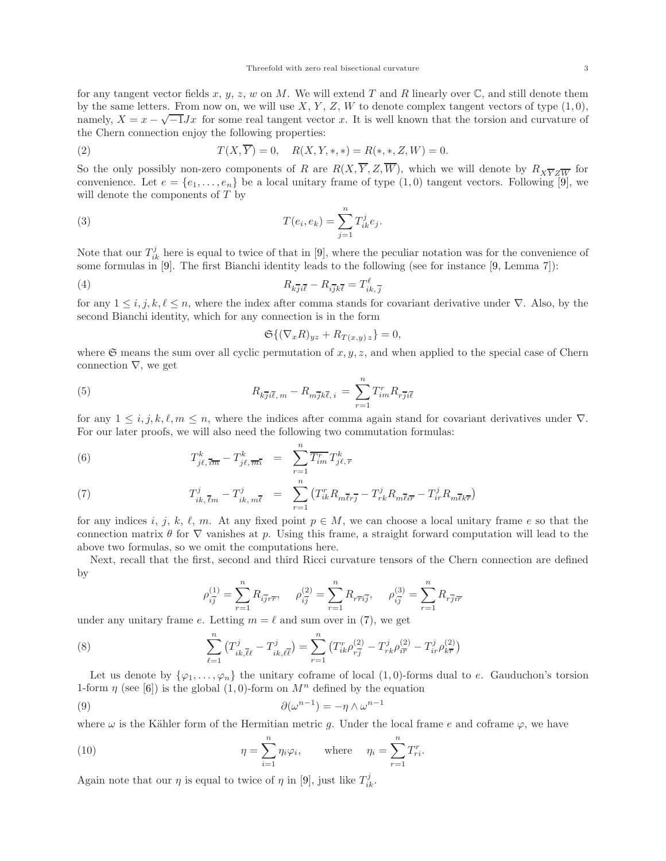for any tangent vector fields x, y, z, w on M. We will extend T and R linearly over  $\mathbb{C}$ , and still denote them by the same letters. From now on, we will use  $X, Y, Z, W$  to denote complex tangent vectors of type  $(1, 0)$ , namely,  $X = x - \sqrt{-1}Jx$  for some real tangent vector x. It is well known that the torsion and curvature of the Chern connection enjoy the following properties:

(2) 
$$
T(X, \overline{Y}) = 0
$$
,  $R(X, Y, *, *) = R(*, *, Z, W) = 0$ .

So the only possibly non-zero components of R are  $R(X, \overline{Y}, Z, \overline{W})$ , which we will denote by  $R_{X\overline{Y}Z\overline{W}}$  for convenience. Let  $e = \{e_1, \ldots, e_n\}$  be a local unitary frame of type  $(1,0)$  tangent vectors. Following [\[9\]](#page-5-8), we will denote the components of  $T$  by

(3) 
$$
T(e_i, e_k) = \sum_{j=1}^n T_{ik}^j e_j.
$$

Note that our  $T_{ik}^j$  here is equal to twice of that in [\[9\]](#page-5-8), where the peculiar notation was for the convenience of some formulas in [\[9\]](#page-5-8). The first Bianchi identity leads to the following (see for instance [\[9,](#page-5-8) Lemma 7]):

(4) 
$$
R_{k\overline{j}i\overline{\ell}} - R_{i\overline{j}k\overline{\ell}} = T_{ik,\overline{j}}^{\ell}
$$

for any  $1 \le i, j, k, \ell \le n$ , where the index after comma stands for covariant derivative under  $\nabla$ . Also, by the second Bianchi identity, which for any connection is in the form

<span id="page-2-2"></span><span id="page-2-1"></span>
$$
\mathfrak{S}\{(\nabla_x R)_{yz} + R_{T(x,y) z}\} = 0,
$$

where  $\mathfrak S$  means the sum over all cyclic permutation of x, y, z, and when applied to the special case of Chern connection  $\nabla$ , we get

(5) 
$$
R_{k\overline{j}i\overline{\ell},m} - R_{m\overline{j}k\overline{\ell},i} = \sum_{r=1}^{n} T_{im}^{r} R_{r\overline{j}i\overline{\ell}}
$$

for any  $1 \leq i, j, k, \ell, m \leq n$ , where the indices after comma again stand for covariant derivatives under  $\nabla$ . For our later proofs, we will also need the following two commutation formulas:

<span id="page-2-0"></span>(6) 
$$
T_{j\ell,\overline{im}}^k - T_{j\ell,\overline{mi}}^k = \sum_{r=1}^n \overline{T_{im}^r} T_{j\ell,\overline{r}}^k
$$

(7) 
$$
T_{ik,\overline{\ell}m}^j - T_{ik,m\overline{\ell}}^j = \sum_{r=1}^n \left( T_{ik}^r R_{m\overline{\ell}r\overline{j}} - T_{rk}^j R_{m\overline{\ell}i\overline{r}} - T_{ir}^j R_{m\overline{\ell}k\overline{r}} \right)
$$

for any indices i, j, k,  $\ell$ , m. At any fixed point  $p \in M$ , we can choose a local unitary frame e so that the connection matrix  $\theta$  for  $\nabla$  vanishes at p. Using this frame, a straight forward computation will lead to the above two formulas, so we omit the computations here.

Next, recall that the first, second and third Ricci curvature tensors of the Chern connection are defined by

<span id="page-2-3"></span>
$$
\rho_{i\overline{j}}^{(1)} = \sum_{r=1}^{n} R_{i\overline{j}r\overline{r}}, \quad \rho_{i\overline{j}}^{(2)} = \sum_{r=1}^{n} R_{r\overline{r}i\overline{j}}, \quad \rho_{i\overline{j}}^{(3)} = \sum_{r=1}^{n} R_{r\overline{j}i\overline{r}}
$$

under any unitary frame e. Letting  $m = \ell$  and sum over in [\(7\)](#page-2-0), we get

(8) 
$$
\sum_{\ell=1}^{n} \left( T_{ik,\overline{\ell}\ell}^{j} - T_{ik,\ell\overline{\ell}}^{j} \right) = \sum_{r=1}^{n} \left( T_{ik}^{r} \rho_{r\overline{j}}^{(2)} - T_{rk}^{j} \rho_{i\overline{r}}^{(2)} - T_{ir}^{j} \rho_{k\overline{r}}^{(2)} \right)
$$

Let us denote by  $\{\varphi_1,\ldots,\varphi_n\}$  the unitary coframe of local  $(1,0)$ -forms dual to e. Gauduchon's torsion 1-form  $\eta$  (see [\[6\]](#page-5-9)) is the global (1,0)-form on  $M^n$  defined by the equation

(9) 
$$
\partial(\omega^{n-1}) = -\eta \wedge \omega^{n-1}
$$

where  $\omega$  is the Kähler form of the Hermitian metric g. Under the local frame e and coframe  $\varphi$ , we have

(10) 
$$
\eta = \sum_{i=1}^{n} \eta_i \varphi_i, \quad \text{where} \quad \eta_i = \sum_{r=1}^{n} T_{ri}^r.
$$

Again note that our  $\eta$  is equal to twice of  $\eta$  in [\[9\]](#page-5-8), just like  $T_{ik}^j$ .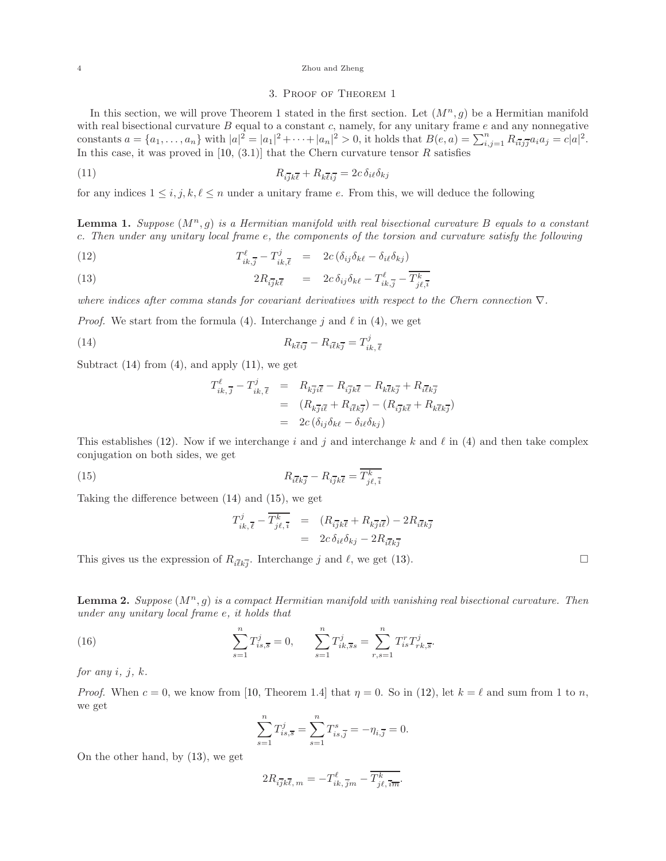#### 4 Zhou and Zheng

## <span id="page-3-1"></span>3. Proof of Theorem 1

In this section, we will prove Theorem 1 stated in the first section. Let  $(M^n, g)$  be a Hermitian manifold with real bisectional curvature  $B$  equal to a constant c, namely, for any unitary frame  $e$  and any nonnegative constants  $a = \{a_1, ..., a_n\}$  with  $|a|^2 = |a_1|^2 + \cdots + |a_n|^2 > 0$ , it holds that  $B(e, a) = \sum_{i,j=1}^n R_{i\bar{i}j\bar{j}} a_i a_j = c|a|^2$ . In this case, it was proved in  $[10, (3.1)]$  that the Chern curvature tensor R satisfies

(11) 
$$
R_{i\overline{j}k\overline{\ell}} + R_{k\overline{\ell}i\overline{j}} = 2c \,\delta_{i\ell} \delta_{kj}
$$

for any indices  $1 \leq i, j, k, \ell \leq n$  under a unitary frame e. From this, we will deduce the following

**Lemma 1.** Suppose  $(M^n, q)$  is a Hermitian manifold with real bisectional curvature B equals to a constant c. Then under any unitary local frame e, the components of the torsion and curvature satisfy the following

(12) 
$$
T_{ik,\overline{j}}^{\ell} - T_{ik,\overline{\ell}}^{j} = 2c(\delta_{ij}\delta_{k\ell} - \delta_{i\ell}\delta_{kj})
$$

(13) 
$$
2R_{i\overline{j}k\overline{\ell}} = 2c \delta_{ij}\delta_{k\ell} - T_{ik,\overline{j}}^{\ell} - \overline{T_{jk,\overline{i}}^k}
$$

where indices after comma stands for covariant derivatives with respect to the Chern connection  $\nabla$ .

*Proof.* We start from the formula [\(4\)](#page-2-1). Interchange j and  $\ell$  in (4), we get

(14) 
$$
R_{k\overline{\ell}i\overline{j}} - R_{i\overline{\ell}k\overline{j}} = T_{ik,\overline{\ell}}^j
$$

Subtract  $(14)$  from  $(4)$ , and apply  $(11)$ , we get

<span id="page-3-2"></span><span id="page-3-0"></span>
$$
T_{ik,\overline{j}}^{\ell} - T_{ik,\overline{\ell}}^{j} = R_{k\overline{j}i\overline{\ell}} - R_{i\overline{j}k\overline{\ell}} - R_{k\overline{\ell}k\overline{j}} + R_{i\overline{\ell}k\overline{j}} = (R_{k\overline{j}i\overline{\ell}} + R_{i\overline{\ell}k\overline{j}}) - (R_{i\overline{j}k\overline{\ell}} + R_{k\overline{\ell}k\overline{j}}) = 2c(\delta_{ij}\delta_{k\ell} - \delta_{i\ell}\delta_{kj})
$$

This establishes [\(12\)](#page-3-2). Now if we interchange i and j and interchange k and  $\ell$  in [\(4\)](#page-2-1) and then take complex conjugation on both sides, we get

(15) 
$$
R_{i\overline{\ell}k\overline{j}} - R_{i\overline{j}k\overline{\ell}} = \overline{T^k_{j\ell,\overline{i}}}
$$

Taking the difference between [\(14\)](#page-3-0) and [\(15\)](#page-3-3), we get

<span id="page-3-3"></span>
$$
T_{ik,\overline{\ell}}^j - \overline{T_{j\ell,\overline{i}}^k} = (R_{i\overline{j}k\overline{\ell}} + R_{k\overline{j}i\overline{\ell}}) - 2R_{i\overline{\ell}k\overline{j}} = 2c \delta_{i\ell} \delta_{kj} - 2R_{i\overline{\ell}k\overline{j}}
$$

This gives us the expression of  $R_{i\bar{\ell}k\bar{j}}$ . Interchange j and  $\ell$ , we get [\(13\)](#page-3-2).

**Lemma 2.** Suppose  $(M^n, g)$  is a compact Hermitian manifold with vanishing real bisectional curvature. Then under any unitary local frame e, it holds that

(16) 
$$
\sum_{s=1}^{n} T_{is,\overline{s}}^{j} = 0, \qquad \sum_{s=1}^{n} T_{ik,\overline{s}s}^{j} = \sum_{r,s=1}^{n} T_{is}^{r} T_{rk,\overline{s}}^{j}.
$$

for any  $i, j, k$ .

*Proof.* When  $c = 0$ , we know from [\[10,](#page-5-7) Theorem 1.4] that  $\eta = 0$ . So in [\(12\)](#page-3-2), let  $k = \ell$  and sum from 1 to n, we get

<span id="page-3-4"></span>
$$
\sum_{s=1}^{n} T_{is,\overline{s}}^{j} = \sum_{s=1}^{n} T_{is,\overline{j}}^{s} = -\eta_{i,\overline{j}} = 0.
$$

On the other hand, by [\(13\)](#page-3-2), we get

$$
2R_{i\overline{j}k\overline{\ell},\,m}=-T_{ik,\,\overline{jm}}^{\ell}-\overline{T_{j\ell,\,\overline{im}}^k}.
$$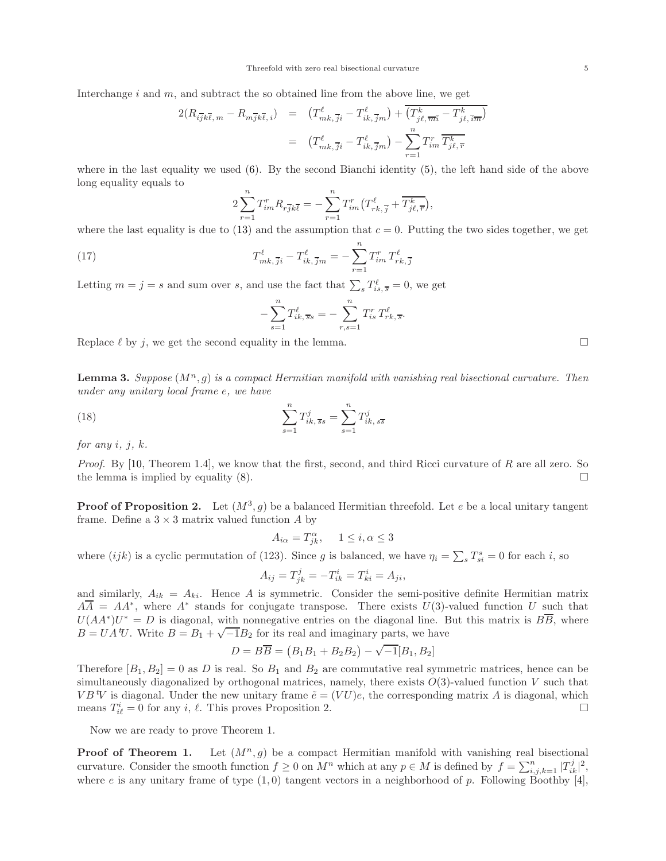Interchange  $i$  and  $m$ , and subtract the so obtained line from the above line, we get

$$
2(R_{i\overline{j}k\overline{\ell},m} - R_{m\overline{j}k\overline{\ell},i}) = (T_{mk,\overline{j}i}^{\ell} - T_{ik,\overline{j}m}^{\ell}) + \overline{(T_{j\ell,\overline{m}\overline{i}}^k - T_{j\ell,\overline{i}\overline{m}}^k)}
$$
  

$$
= (T_{mk,\overline{j}i}^{\ell} - T_{ik,\overline{j}m}^{\ell}) - \sum_{r=1}^{n} T_{im}^r \overline{T_{j\ell,\overline{r}}^k}
$$

where in the last equality we used  $(6)$ . By the second Bianchi identity  $(5)$ , the left hand side of the above long equality equals to

$$
2\sum_{r=1}^{n}T_{im}^{r}R_{r\overline{j}k\overline{\ell}}=-\sum_{r=1}^{n}T_{im}^{r}\left(T_{rk,\overline{j}}^{\ell}+\overline{T_{j\ell,\overline{r}}^{k}}\right),
$$

where the last equality is due to [\(13\)](#page-3-2) and the assumption that  $c = 0$ . Putting the two sides together, we get

(17) 
$$
T_{mk,\overline{j}i}^{\ell} - T_{ik,\overline{j}m}^{\ell} = -\sum_{r=1}^{n} T_{im}^{r} T_{rk,\overline{j}}^{\ell}
$$

Letting  $m = j = s$  and sum over s, and use the fact that  $\sum_{s} T_{is, \overline{s}}^{\ell} = 0$ , we get

<span id="page-4-0"></span>
$$
-\sum_{s=1}^{n} T_{ik,\,\overline{s}s}^{\ell} = -\sum_{r,s=1}^{n} T_{is}^{r} T_{rk,\,\overline{s}}^{\ell}
$$

.

Replace  $\ell$  by j, we get the second equality in the lemma.

**Lemma 3.** Suppose  $(M^n, q)$  is a compact Hermitian manifold with vanishing real bisectional curvature. Then under any unitary local frame e, we have

(18) 
$$
\sum_{s=1}^{n} T_{ik,\,\overline{s}s}^{j} = \sum_{s=1}^{n} T_{ik,\,s\overline{s}}^{j}
$$

for any  $i, j, k$ .

*Proof.* By [\[10,](#page-5-7) Theorem 1.4], we know that the first, second, and third Ricci curvature of R are all zero. So the lemma is implied by equality  $(8)$ .

**Proof of Proposition 2.** Let  $(M^3, g)$  be a balanced Hermitian threefold. Let e be a local unitary tangent frame. Define a  $3 \times 3$  matrix valued function A by

$$
A_{i\alpha}=T_{jk}^{\alpha},\quad \ 1\leq i,\alpha\leq 3
$$

where  $(ijk)$  is a cyclic permutation of (123). Since g is balanced, we have  $\eta_i = \sum_s T_{si}^s = 0$  for each i, so

$$
A_{ij} = T_{jk}^j = -T_{ik}^i = T_{ki}^i = A_{ji},
$$

and similarly,  $A_{ik} = A_{ki}$ . Hence A is symmetric. Consider the semi-positive definite Hermitian matrix  $A\overline{A} = AA^*$ , where  $A^*$  stands for conjugate transpose. There exists  $U(3)$ -valued function U such that  $U(AA^*)U^* = D$  is diagonal, with nonnegative entries on the diagonal line. But this matrix is  $B\overline{B}$ , where  $B = UA^tU$ . Write  $B = B_1 + \sqrt{-1}B_2$  for its real and imaginary parts, we have

$$
D = B\overline{B} = (B_1B_1 + B_2B_2) - \sqrt{-1}[B_1, B_2]
$$

Therefore  $[B_1, B_2] = 0$  as D is real. So  $B_1$  and  $B_2$  are commutative real symmetric matrices, hence can be simultaneously diagonalized by orthogonal matrices, namely, there exists  $O(3)$ -valued function V such that  $VB<sup>t</sup>V$  is diagonal. Under the new unitary frame  $\tilde{e} = (VU)e$ , the corresponding matrix A is diagonal, which means  $T_{i\ell}^i = 0$  for any  $i, \ell$ . This proves Proposition 2.

Now we are ready to prove Theorem 1.

**Proof of Theorem 1.** Let  $(M^n, g)$  be a compact Hermitian manifold with vanishing real bisectional curvature. Consider the smooth function  $f \ge 0$  on  $M^n$  which at any  $p \in M$  is defined by  $f = \sum_{i,j,k=1}^n |T_{ik}^j|^2$ , where e is any unitary frame of type  $(1,0)$  tangent vectors in a neighborhood of p. Following Boothby [\[4\]](#page-5-6),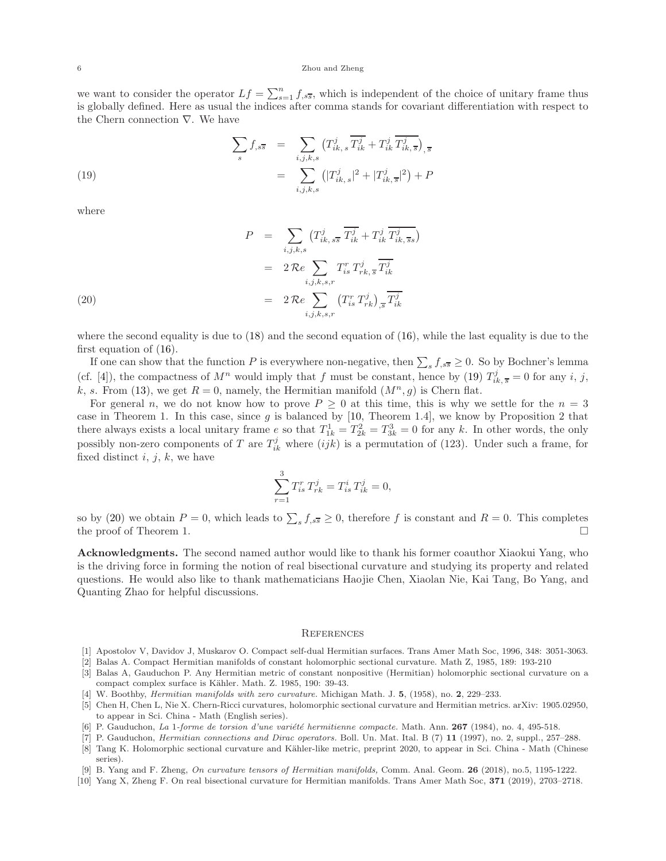#### 6 Zhou and Zheng

we want to consider the operator  $Lf = \sum_{s=1}^{n} f_{s\overline{s}},$  which is independent of the choice of unitary frame thus is globally defined. Here as usual the indices after comma stands for covariant differentiation with respect to the Chern connection ∇. We have

<span id="page-5-10"></span>(19)  
\n
$$
\sum_{s} f_{,s\overline{s}} = \sum_{i,j,k,s} \left( T_{ik,s}^{j} \overline{T_{ik}^{j}} + T_{ik}^{j} \overline{T_{ik,s}^{j}} \right)_{,\overline{s}}
$$
\n
$$
= \sum_{i,j,k,s} \left( |T_{ik,s}^{j}|^{2} + |T_{ik,\overline{s}}^{j}|^{2} \right) + P
$$

where

<span id="page-5-11"></span>
$$
P = \sum_{i,j,k,s} \left( T_{ik,s\overline{s}}^j \overline{T_{ik}^j} + T_{ik}^j \overline{T_{ik,ss}^j} \right)
$$
  

$$
= 2 \Re e \sum_{i,j,k,s,r} T_{is}^r T_{rk,s}^j \overline{T_{ik}^j}
$$
  

$$
= 2 \Re e \sum_{i,j,k,s,r} \left( T_{is}^r T_{rk}^j \right)_{,\overline{s}} \overline{T_{ik}^j}
$$
  
(20)

where the second equality is due to  $(18)$  and the second equation of  $(16)$ , while the last equality is due to the first equation of [\(16\)](#page-3-4).

If one can show that the function P is everywhere non-negative, then  $\sum_s f_{\zeta,s} \geq 0$ . So by Bochner's lemma (cf. [\[4\]](#page-5-6)), the compactness of  $M^n$  would imply that f must be constant, hence by [\(19\)](#page-5-10)  $T_{ik, \bar{s}}^j = 0$  for any i, j, k, s. From [\(13\)](#page-3-2), we get  $R = 0$ , namely, the Hermitian manifold  $(M<sup>n</sup>, g)$  is Chern flat.

For general n, we do not know how to prove  $P \geq 0$  at this time, this is why we settle for the  $n = 3$ case in Theorem 1. In this case, since  $g$  is balanced by [\[10,](#page-5-7) Theorem 1.4], we know by Proposition 2 that there always exists a local unitary frame e so that  $T_{1k}^1 = T_{2k}^2 = T_{3k}^3 = 0$  for any k. In other words, the only possibly non-zero components of T are  $T_{ik}^j$  where  $(ijk)$  is a permutation of (123). Under such a frame, for fixed distinct  $i, j, k$ , we have

$$
\sum_{r=1}^{3} T_{is}^{r} T_{rk}^{j} = T_{is}^{i} T_{ik}^{j} = 0,
$$

so by [\(20\)](#page-5-11) we obtain  $P=0$ , which leads to  $\sum_{s} f_{s\overline{s}} \geq 0$ , therefore f is constant and  $R=0$ . This completes the proof of Theorem 1.

Acknowledgments. The second named author would like to thank his former coauthor Xiaokui Yang, who is the driving force in forming the notion of real bisectional curvature and studying its property and related questions. He would also like to thank mathematicians Haojie Chen, Xiaolan Nie, Kai Tang, Bo Yang, and Quanting Zhao for helpful discussions.

### **REFERENCES**

- <span id="page-5-3"></span><span id="page-5-2"></span>[1] Apostolov V, Davidov J, Muskarov O. Compact self-dual Hermitian surfaces. Trans Amer Math Soc, 1996, 348: 3051-3063.
- <span id="page-5-0"></span>[2] Balas A. Compact Hermitian manifolds of constant holomorphic sectional curvature. Math Z, 1985, 189: 193-210
- [3] Balas A, Gauduchon P. Any Hermitian metric of constant nonpositive (Hermitian) holomorphic sectional curvature on a compact complex surface is Kähler. Math. Z. 1985, 190: 39-43.
- <span id="page-5-6"></span><span id="page-5-5"></span>[4] W. Boothby, Hermitian manifolds with zero curvature. Michigan Math. J. 5, (1958), no. 2, 229–233.
- [5] Chen H, Chen L, Nie X. Chern-Ricci curvatures, holomorphic sectional curvature and Hermitian metrics. arXiv: 1905.02950, to appear in Sci. China - Math (English series).
- <span id="page-5-9"></span><span id="page-5-1"></span>[6] P. Gauduchon, La 1-forme de torsion d'une variété hermitienne compacte. Math. Ann.  $267$  (1984), no. 4, 495-518.
- <span id="page-5-4"></span>[7] P. Gauduchon, Hermitian connections and Dirac operators. Boll. Un. Mat. Ital. B (7) 11 (1997), no. 2, suppl., 257–288. [8] Tang K. Holomorphic sectional curvature and Kähler-like metric, preprint 2020, to appear in Sci. China - Math (Chinese series).
- <span id="page-5-8"></span><span id="page-5-7"></span>[9] B. Yang and F. Zheng, On curvature tensors of Hermitian manifolds, Comm. Anal. Geom. 26 (2018), no.5, 1195-1222.
- [10] Yang X, Zheng F. On real bisectional curvature for Hermitian manifolds. Trans Amer Math Soc, 371 (2019), 2703–2718.